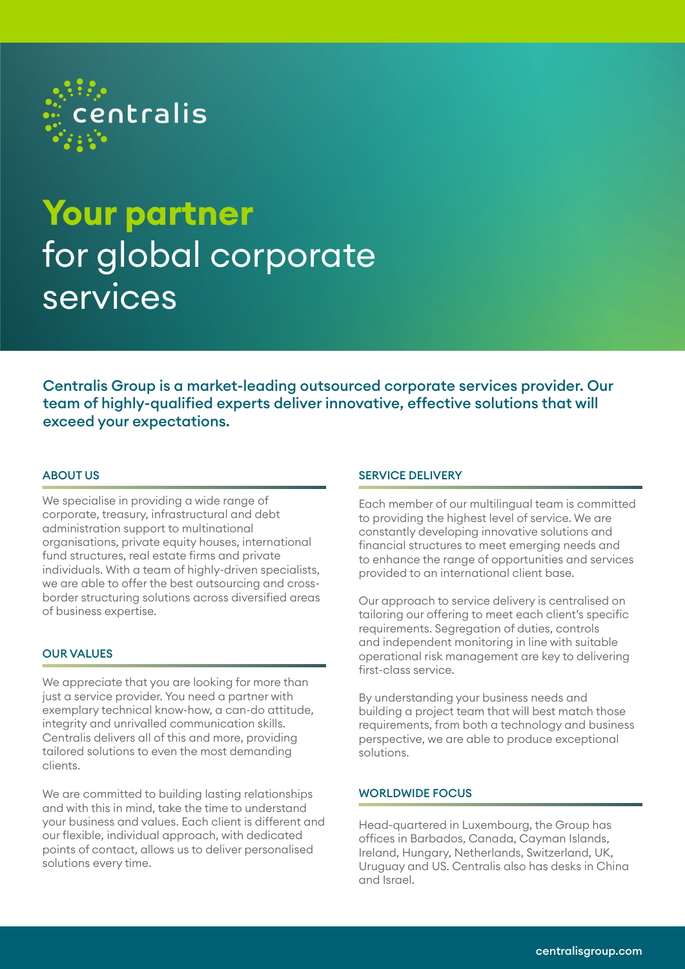

# **Your partner**  for global corporate services

Centralis Group is a market-leading outsourced corporate services provider. Our team of highly-qualified experts deliver innovative, effective solutions that will exceed your expectations.

# ABOUT US

We specialise in providing a wide range of corporate, treasury, infrastructural and debt administration support to multinational organisations, private equity houses, international fund structures, real estate firms and private individuals. With a team of highly-driven specialists, we are able to offer the best outsourcing and crossborder structuring solutions across diversified areas of business expertise.

# OUR VALUES

We appreciate that you are looking for more than just a service provider. You need a partner with exemplary technical know-how, a can-do attitude, integrity and unrivalled communication skills. Centralis delivers all of this and more, providing tailored solutions to even the most demanding clients.

We are committed to building lasting relationships and with this in mind, take the time to understand your business and values. Each client is different and our flexible, individual approach, with dedicated points of contact, allows us to deliver personalised solutions every time.

### SERVICE DELIVERY

Each member of our multilingual team is committed to providing the highest level of service. We are constantly developing innovative solutions and financial structures to meet emerging needs and to enhance the range of opportunities and services provided to an international client base.

Our approach to service delivery is centralised on tailoring our offering to meet each client's specific requirements. Segregation of duties, controls and independent monitoring in line with suitable operational risk management are key to delivering first-class service.

By understanding your business needs and building a project team that will best match those requirements, from both a technology and business perspective, we are able to produce exceptional solutions.

# WORLDWIDE FOCUS

Head-quartered in Luxembourg, the Group has offices in Barbados, Canada, Cayman Islands, Ireland, Hungary, Netherlands, Switzerland, UK, Uruguay and US. Centralis also has desks in China and Israel.